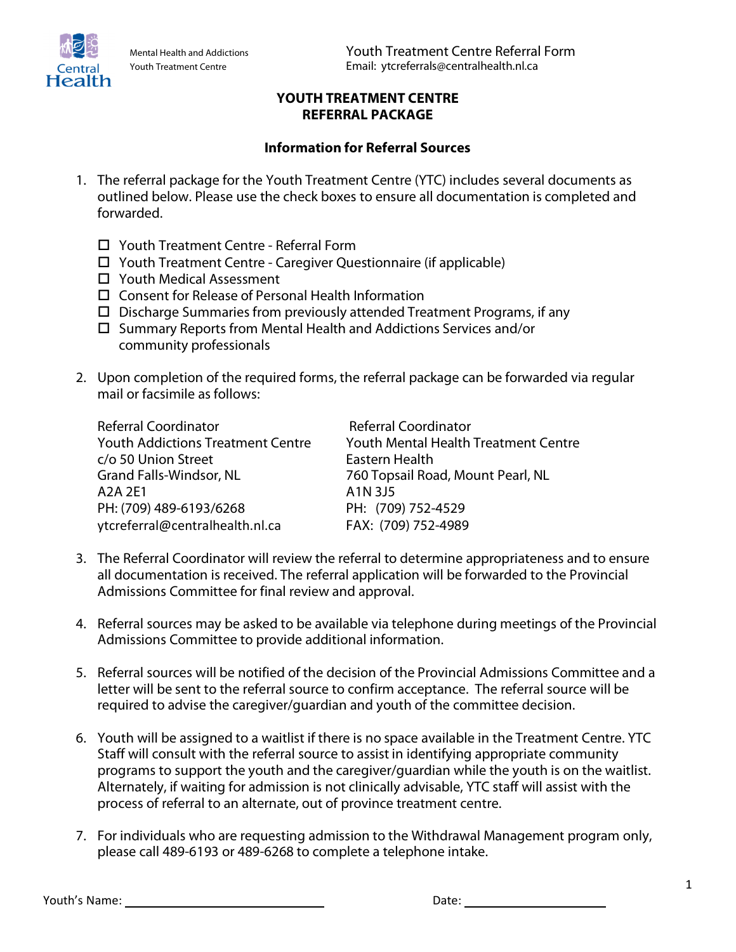Health

## **YOUTH TREATMENT CENTRE REFERRAL PACKAGE**

## **Information for Referral Sources**

- 1. The referral package for the Youth Treatment Centre (YTC) includes several documents as outlined below. Please use the check boxes to ensure all documentation is completed and forwarded.
	- Youth Treatment Centre Referral Form
	- Youth Treatment Centre Caregiver Questionnaire (if applicable)
	- □ Youth Medical Assessment
	- $\square$  Consent for Release of Personal Health Information
	- $\square$  Discharge Summaries from previously attended Treatment Programs, if any
	- $\square$  Summary Reports from Mental Health and Addictions Services and/or community professionals
- 2. Upon completion of the required forms, the referral package can be forwarded via regular mail or facsimile as follows:

| <b>Referral Coordinator</b>              | <b>Referral Coordinator</b>                 |
|------------------------------------------|---------------------------------------------|
| <b>Youth Addictions Treatment Centre</b> | <b>Youth Mental Health Treatment Centre</b> |
| c/o 50 Union Street                      | Eastern Health                              |
| <b>Grand Falls-Windsor, NL</b>           | 760 Topsail Road, Mount Pearl, NL           |
| A <sub>2</sub> A <sub>2E1</sub>          | A1N 3J5                                     |
| PH: (709) 489-6193/6268                  | PH: (709) 752-4529                          |
| ytcreferral@centralhealth.nl.ca          | FAX: (709) 752-4989                         |

- 3. The Referral Coordinator will review the referral to determine appropriateness and to ensure all documentation is received. The referral application will be forwarded to the Provincial Admissions Committee for final review and approval.
- 4. Referral sources may be asked to be available via telephone during meetings of the Provincial Admissions Committee to provide additional information.
- 5. Referral sources will be notified of the decision of the Provincial Admissions Committee and a letter will be sent to the referral source to confirm acceptance. The referral source will be required to advise the caregiver/guardian and youth of the committee decision.
- 6. Youth will be assigned to a waitlist if there is no space available in the Treatment Centre. YTC Staff will consult with the referral source to assist in identifying appropriate community programs to support the youth and the caregiver/guardian while the youth is on the waitlist. Alternately, if waiting for admission is not clinically advisable, YTC staff will assist with the process of referral to an alternate, out of province treatment centre.
- 7. For individuals who are requesting admission to the Withdrawal Management program only, please call 489-6193 or 489-6268 to complete a telephone intake.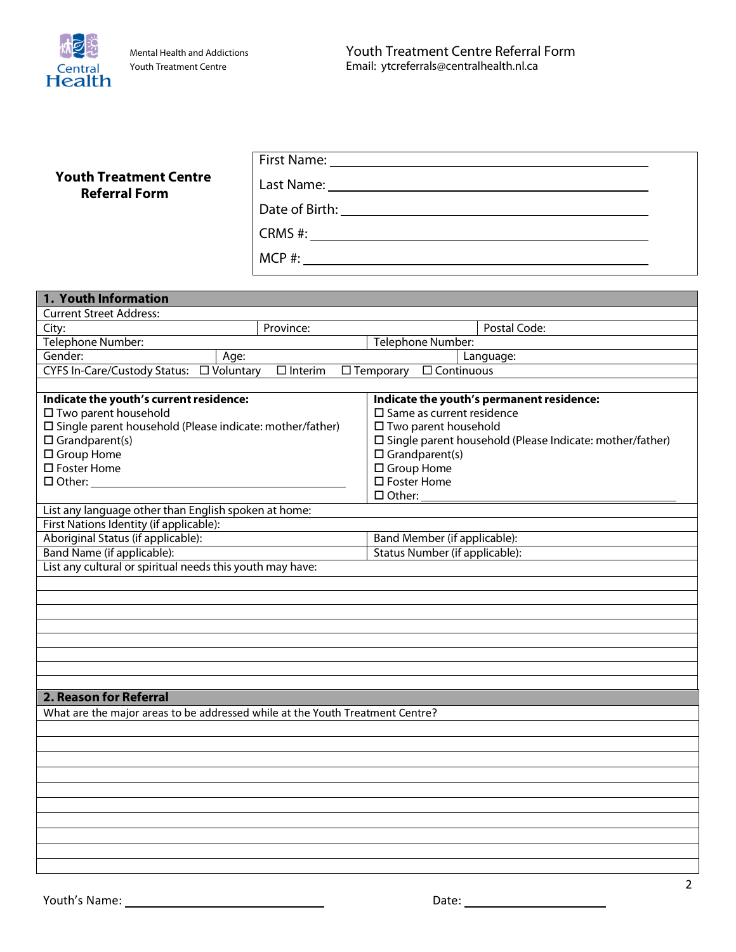

|                                                                               | First Name: Name and Secretary Management of the Secretary Management of the Secretary Management of the Secretary Management of the Secretary Management of the Secretary Management of the Secretary Management of the Secre |                                                            |  |  |
|-------------------------------------------------------------------------------|--------------------------------------------------------------------------------------------------------------------------------------------------------------------------------------------------------------------------------|------------------------------------------------------------|--|--|
| <b>Youth Treatment Centre</b>                                                 |                                                                                                                                                                                                                                |                                                            |  |  |
| <b>Referral Form</b>                                                          |                                                                                                                                                                                                                                |                                                            |  |  |
|                                                                               |                                                                                                                                                                                                                                |                                                            |  |  |
|                                                                               |                                                                                                                                                                                                                                |                                                            |  |  |
|                                                                               | $MCP$ #:                                                                                                                                                                                                                       |                                                            |  |  |
|                                                                               |                                                                                                                                                                                                                                |                                                            |  |  |
| 1. Youth Information                                                          |                                                                                                                                                                                                                                |                                                            |  |  |
| <b>Current Street Address:</b>                                                | Province:                                                                                                                                                                                                                      | Postal Code:                                               |  |  |
| City:<br>Telephone Number:                                                    |                                                                                                                                                                                                                                | Telephone Number:                                          |  |  |
| Gender:<br>Age:                                                               |                                                                                                                                                                                                                                | Language:                                                  |  |  |
|                                                                               | $\Box$ Interim                                                                                                                                                                                                                 | $\overline{\Box$ Continuous<br>$\Box$ Temporary            |  |  |
|                                                                               |                                                                                                                                                                                                                                |                                                            |  |  |
| Indicate the youth's current residence:                                       |                                                                                                                                                                                                                                | Indicate the youth's permanent residence:                  |  |  |
| □ Two parent household                                                        |                                                                                                                                                                                                                                | $\square$ Same as current residence                        |  |  |
| □ Single parent household (Please indicate: mother/father)                    |                                                                                                                                                                                                                                | □ Two parent household                                     |  |  |
| $\square$ Grandparent(s)                                                      |                                                                                                                                                                                                                                | □ Single parent household (Please Indicate: mother/father) |  |  |
| □ Group Home                                                                  |                                                                                                                                                                                                                                | $\Box$ Grandparent(s)                                      |  |  |
| $\square$ Foster Home                                                         |                                                                                                                                                                                                                                | □ Group Home                                               |  |  |
|                                                                               |                                                                                                                                                                                                                                | $\square$ Foster Home                                      |  |  |
|                                                                               |                                                                                                                                                                                                                                |                                                            |  |  |
| List any language other than English spoken at home:                          |                                                                                                                                                                                                                                |                                                            |  |  |
| First Nations Identity (if applicable):                                       |                                                                                                                                                                                                                                |                                                            |  |  |
| Aboriginal Status (if applicable):                                            |                                                                                                                                                                                                                                | Band Member (if applicable):                               |  |  |
| Band Name (if applicable):                                                    | Status Number (if applicable):                                                                                                                                                                                                 |                                                            |  |  |
| List any cultural or spiritual needs this youth may have:                     |                                                                                                                                                                                                                                |                                                            |  |  |
|                                                                               |                                                                                                                                                                                                                                |                                                            |  |  |
|                                                                               |                                                                                                                                                                                                                                |                                                            |  |  |
|                                                                               |                                                                                                                                                                                                                                |                                                            |  |  |
|                                                                               |                                                                                                                                                                                                                                |                                                            |  |  |
|                                                                               |                                                                                                                                                                                                                                |                                                            |  |  |
|                                                                               |                                                                                                                                                                                                                                |                                                            |  |  |
|                                                                               |                                                                                                                                                                                                                                |                                                            |  |  |
| 2. Reason for Referral                                                        |                                                                                                                                                                                                                                |                                                            |  |  |
| What are the major areas to be addressed while at the Youth Treatment Centre? |                                                                                                                                                                                                                                |                                                            |  |  |
|                                                                               |                                                                                                                                                                                                                                |                                                            |  |  |
|                                                                               |                                                                                                                                                                                                                                |                                                            |  |  |
|                                                                               |                                                                                                                                                                                                                                |                                                            |  |  |
|                                                                               |                                                                                                                                                                                                                                |                                                            |  |  |
|                                                                               |                                                                                                                                                                                                                                |                                                            |  |  |
|                                                                               |                                                                                                                                                                                                                                |                                                            |  |  |
|                                                                               |                                                                                                                                                                                                                                |                                                            |  |  |
|                                                                               |                                                                                                                                                                                                                                |                                                            |  |  |
|                                                                               |                                                                                                                                                                                                                                |                                                            |  |  |
|                                                                               |                                                                                                                                                                                                                                |                                                            |  |  |
|                                                                               |                                                                                                                                                                                                                                |                                                            |  |  |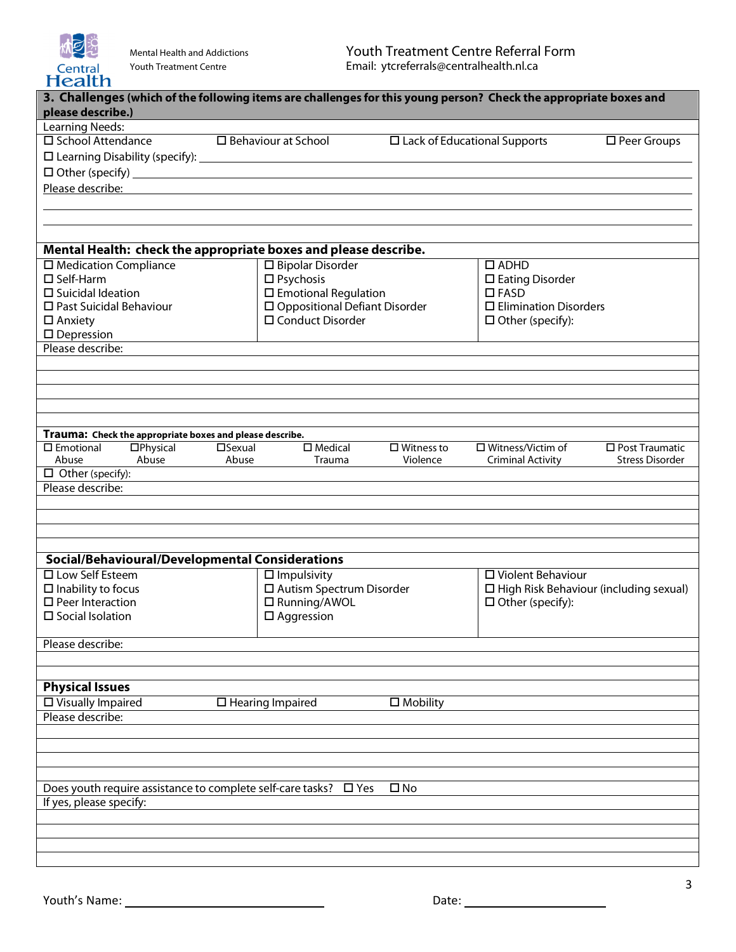

| <b>TICAILIT</b>                                                                                                   |                  |                                 |                    |                                     |                                          |
|-------------------------------------------------------------------------------------------------------------------|------------------|---------------------------------|--------------------|-------------------------------------|------------------------------------------|
| 3. Challenges (which of the following items are challenges for this young person? Check the appropriate boxes and |                  |                                 |                    |                                     |                                          |
| please describe.)                                                                                                 |                  |                                 |                    |                                     |                                          |
| <b>Learning Needs:</b>                                                                                            |                  |                                 |                    |                                     |                                          |
| □ School Attendance                                                                                               |                  | $\Box$ Behaviour at School      |                    | $\Box$ Lack of Educational Supports | $\square$ Peer Groups                    |
|                                                                                                                   |                  |                                 |                    |                                     |                                          |
| D Other (specify)<br><u>D</u> Other (specify)                                                                     |                  |                                 |                    |                                     |                                          |
| Please describe:                                                                                                  |                  |                                 |                    |                                     |                                          |
|                                                                                                                   |                  |                                 |                    |                                     |                                          |
|                                                                                                                   |                  |                                 |                    |                                     |                                          |
|                                                                                                                   |                  |                                 |                    |                                     |                                          |
| Mental Health: check the appropriate boxes and please describe.                                                   |                  |                                 |                    |                                     |                                          |
| $\square$ Medication Compliance                                                                                   |                  | $\square$ Bipolar Disorder      |                    | $\Box$ ADHD                         |                                          |
| $\square$ Self-Harm                                                                                               |                  | $\square$ Psychosis             |                    | $\square$ Eating Disorder           |                                          |
| $\square$ Suicidal Ideation                                                                                       |                  | $\square$ Emotional Regulation  |                    | $\Box$ FASD                         |                                          |
| □ Past Suicidal Behaviour                                                                                         |                  | □ Oppositional Defiant Disorder |                    | $\square$ Elimination Disorders     |                                          |
| $\square$ Anxiety                                                                                                 |                  | □ Conduct Disorder              |                    | $\Box$ Other (specify):             |                                          |
| $\square$ Depression                                                                                              |                  |                                 |                    |                                     |                                          |
| Please describe:                                                                                                  |                  |                                 |                    |                                     |                                          |
|                                                                                                                   |                  |                                 |                    |                                     |                                          |
|                                                                                                                   |                  |                                 |                    |                                     |                                          |
|                                                                                                                   |                  |                                 |                    |                                     |                                          |
|                                                                                                                   |                  |                                 |                    |                                     |                                          |
|                                                                                                                   |                  |                                 |                    |                                     |                                          |
| Trauma: Check the appropriate boxes and please describe.                                                          |                  |                                 |                    |                                     |                                          |
| $\square$ Emotional<br>$\square$ Physical<br>Abuse                                                                | $\square$ Sexual | $\square$ Medical               | $\Box$ Witness to  | □ Witness/Victim of                 | $\square$ Post Traumatic                 |
| Abuse<br>$\Box$ Other (specify):                                                                                  | Abuse            | Trauma                          | Violence           | <b>Criminal Activity</b>            | <b>Stress Disorder</b>                   |
| Please describe:                                                                                                  |                  |                                 |                    |                                     |                                          |
|                                                                                                                   |                  |                                 |                    |                                     |                                          |
|                                                                                                                   |                  |                                 |                    |                                     |                                          |
|                                                                                                                   |                  |                                 |                    |                                     |                                          |
|                                                                                                                   |                  |                                 |                    |                                     |                                          |
| Social/Behavioural/Developmental Considerations                                                                   |                  |                                 |                    |                                     |                                          |
| □ Low Self Esteem                                                                                                 |                  | $\Box$ Impulsivity              |                    | □ Violent Behaviour                 |                                          |
| $\square$ Inability to focus                                                                                      |                  | □ Autism Spectrum Disorder      |                    |                                     | □ High Risk Behaviour (including sexual) |
| $\square$ Peer Interaction                                                                                        |                  | □ Running/AWOL                  |                    | $\Box$ Other (specify):             |                                          |
| $\square$ Social Isolation                                                                                        |                  | $\Box$ Aggression               |                    |                                     |                                          |
|                                                                                                                   |                  |                                 |                    |                                     |                                          |
| Please describe:                                                                                                  |                  |                                 |                    |                                     |                                          |
|                                                                                                                   |                  |                                 |                    |                                     |                                          |
|                                                                                                                   |                  |                                 |                    |                                     |                                          |
| <b>Physical Issues</b>                                                                                            |                  |                                 |                    |                                     |                                          |
| $\square$ Visually Impaired                                                                                       |                  | $\Box$ Hearing Impaired         | $\square$ Mobility |                                     |                                          |
| Please describe:                                                                                                  |                  |                                 |                    |                                     |                                          |
|                                                                                                                   |                  |                                 |                    |                                     |                                          |
|                                                                                                                   |                  |                                 |                    |                                     |                                          |
|                                                                                                                   |                  |                                 |                    |                                     |                                          |
|                                                                                                                   |                  |                                 |                    |                                     |                                          |
| Does youth require assistance to complete self-care tasks? $\Box$ Yes                                             |                  |                                 | $\square$ No       |                                     |                                          |
| If yes, please specify:                                                                                           |                  |                                 |                    |                                     |                                          |
|                                                                                                                   |                  |                                 |                    |                                     |                                          |
|                                                                                                                   |                  |                                 |                    |                                     |                                          |
|                                                                                                                   |                  |                                 |                    |                                     |                                          |
|                                                                                                                   |                  |                                 |                    |                                     |                                          |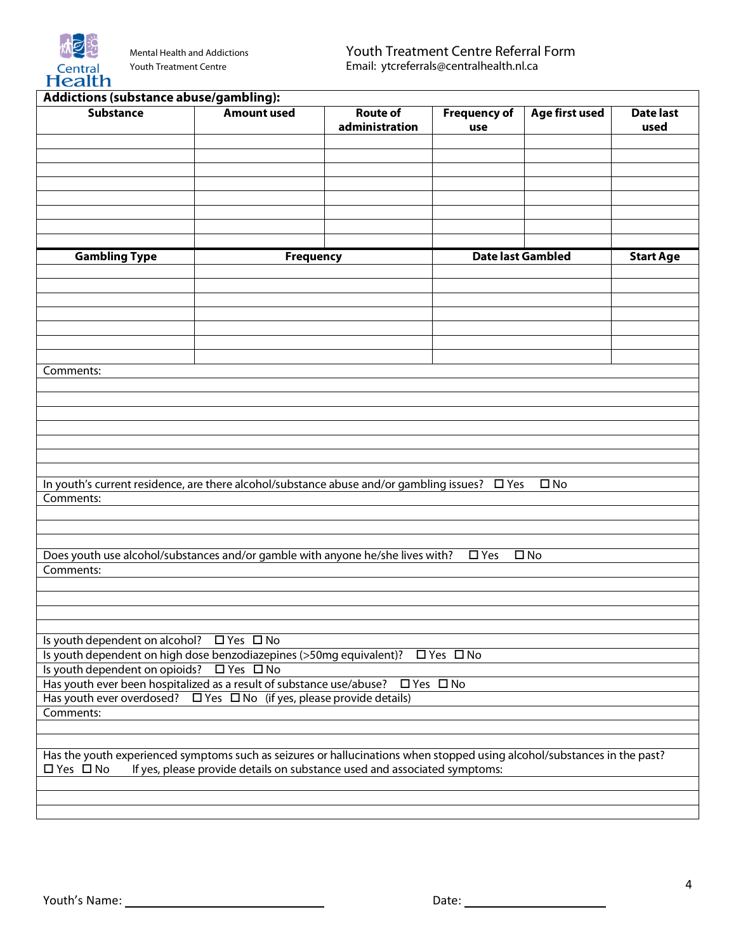

| Addictions (substance abuse/gambling):                                                                                   |                                                                                                               |                                   |                            |                |                          |
|--------------------------------------------------------------------------------------------------------------------------|---------------------------------------------------------------------------------------------------------------|-----------------------------------|----------------------------|----------------|--------------------------|
| <b>Substance</b>                                                                                                         | <b>Amount used</b>                                                                                            | <b>Route of</b><br>administration | <b>Frequency of</b><br>use | Age first used | <b>Date last</b><br>used |
|                                                                                                                          |                                                                                                               |                                   |                            |                |                          |
|                                                                                                                          |                                                                                                               |                                   |                            |                |                          |
|                                                                                                                          |                                                                                                               |                                   |                            |                |                          |
|                                                                                                                          |                                                                                                               |                                   |                            |                |                          |
|                                                                                                                          |                                                                                                               |                                   |                            |                |                          |
|                                                                                                                          |                                                                                                               |                                   |                            |                |                          |
|                                                                                                                          |                                                                                                               |                                   |                            |                |                          |
| <b>Gambling Type</b>                                                                                                     | <b>Frequency</b>                                                                                              |                                   | <b>Date last Gambled</b>   |                | <b>Start Age</b>         |
|                                                                                                                          |                                                                                                               |                                   |                            |                |                          |
|                                                                                                                          |                                                                                                               |                                   |                            |                |                          |
|                                                                                                                          |                                                                                                               |                                   |                            |                |                          |
|                                                                                                                          |                                                                                                               |                                   |                            |                |                          |
|                                                                                                                          |                                                                                                               |                                   |                            |                |                          |
|                                                                                                                          |                                                                                                               |                                   |                            |                |                          |
|                                                                                                                          |                                                                                                               |                                   |                            |                |                          |
| Comments:                                                                                                                |                                                                                                               |                                   |                            |                |                          |
|                                                                                                                          |                                                                                                               |                                   |                            |                |                          |
|                                                                                                                          |                                                                                                               |                                   |                            |                |                          |
|                                                                                                                          |                                                                                                               |                                   |                            |                |                          |
|                                                                                                                          |                                                                                                               |                                   |                            |                |                          |
|                                                                                                                          |                                                                                                               |                                   |                            |                |                          |
|                                                                                                                          |                                                                                                               |                                   |                            |                |                          |
|                                                                                                                          | In youth's current residence, are there alcohol/substance abuse and/or gambling issues? □ Yes<br>$\square$ No |                                   |                            |                |                          |
| Comments:                                                                                                                |                                                                                                               |                                   |                            |                |                          |
|                                                                                                                          |                                                                                                               |                                   |                            |                |                          |
|                                                                                                                          |                                                                                                               |                                   |                            |                |                          |
|                                                                                                                          |                                                                                                               |                                   |                            |                |                          |
| Does youth use alcohol/substances and/or gamble with anyone he/she lives with?<br>$\Box$ Yes<br>$\square$ No             |                                                                                                               |                                   |                            |                |                          |
| Comments:                                                                                                                |                                                                                                               |                                   |                            |                |                          |
|                                                                                                                          |                                                                                                               |                                   |                            |                |                          |
|                                                                                                                          |                                                                                                               |                                   |                            |                |                          |
|                                                                                                                          |                                                                                                               |                                   |                            |                |                          |
|                                                                                                                          |                                                                                                               |                                   |                            |                |                          |
| Is youth dependent on alcohol? $\Box$ Yes $\Box$ No                                                                      |                                                                                                               |                                   |                            |                |                          |
| Is youth dependent on high dose benzodiazepines (>50mg equivalent)?                                                      |                                                                                                               |                                   | □ Yes □ No                 |                |                          |
| Is youth dependent on opioids? □ Yes □ No                                                                                |                                                                                                               |                                   |                            |                |                          |
| Has youth ever been hospitalized as a result of substance use/abuse? $\Box$ Yes $\Box$ No                                |                                                                                                               |                                   |                            |                |                          |
| Has youth ever overdosed? $\Box$ Yes $\Box$ No (if yes, please provide details)<br>Comments:                             |                                                                                                               |                                   |                            |                |                          |
|                                                                                                                          |                                                                                                               |                                   |                            |                |                          |
|                                                                                                                          |                                                                                                               |                                   |                            |                |                          |
| Has the youth experienced symptoms such as seizures or hallucinations when stopped using alcohol/substances in the past? |                                                                                                               |                                   |                            |                |                          |
| □ Yes □ No                                                                                                               | If yes, please provide details on substance used and associated symptoms:                                     |                                   |                            |                |                          |
|                                                                                                                          |                                                                                                               |                                   |                            |                |                          |
|                                                                                                                          |                                                                                                               |                                   |                            |                |                          |
|                                                                                                                          |                                                                                                               |                                   |                            |                |                          |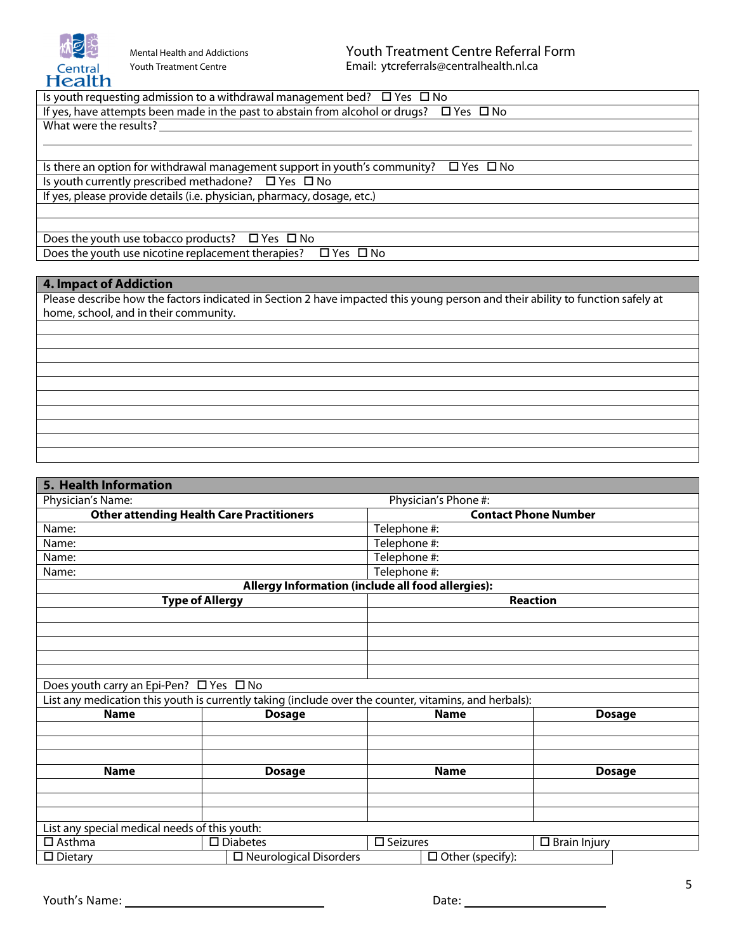

Is youth requesting admission to a withdrawal management bed?  $\Box$  Yes  $\Box$  No

If yes, have attempts been made in the past to abstain from alcohol or drugs?  $\Box$  Yes  $\Box$  No

What were the results?  $\overline{a}$ 

Is there an option for withdrawal management support in youth's community?  $\Box$  Yes  $\Box$  No Is youth currently prescribed methadone?  $\Box$  Yes  $\Box$  No If yes, please provide details (i.e. physician, pharmacy, dosage, etc.)

Does the youth use tobacco products?  $\Box$  Yes  $\Box$  No Does the youth use nicotine replacement therapies?  $\Box$  Yes  $\Box$  No

## **4. Impact of Addiction**

Please describe how the factors indicated in Section 2 have impacted this young person and their ability to function safely at home, school, and in their community.

## **5. Health Information** Physician's Name: Physician's Phone #: **Other attending Health Care Practitioners Contact Phone Number** Name:  $\vert$  Telephone #: Name:  $\vert$  Telephone #: Name:  $\vert$  Telephone #: Name:  $\vert$  Telephone #: **Allergy Information (include all food allergies): Type of Allergy Reaction**

| Does youth carry an Epi-Pen? $\Box$ Yes $\Box$ No |  |  |
|---------------------------------------------------|--|--|
|                                                   |  |  |

| List any medication this youth is currently taking (include over the counter, vitamins, and herbals): |                                  |                    |                         |                     |               |
|-------------------------------------------------------------------------------------------------------|----------------------------------|--------------------|-------------------------|---------------------|---------------|
| <b>Name</b>                                                                                           | <b>Dosage</b>                    |                    | <b>Name</b>             |                     | <b>Dosage</b> |
|                                                                                                       |                                  |                    |                         |                     |               |
|                                                                                                       |                                  |                    |                         |                     |               |
|                                                                                                       |                                  |                    |                         |                     |               |
| <b>Name</b>                                                                                           | <b>Dosage</b>                    |                    | <b>Name</b>             |                     | <b>Dosage</b> |
|                                                                                                       |                                  |                    |                         |                     |               |
|                                                                                                       |                                  |                    |                         |                     |               |
|                                                                                                       |                                  |                    |                         |                     |               |
| List any special medical needs of this youth:                                                         |                                  |                    |                         |                     |               |
| $\Box$ Asthma                                                                                         | $\square$ Diabetes               | $\square$ Seizures |                         | $\Box$ Brain Injury |               |
| $\square$ Dietary                                                                                     | $\square$ Neurological Disorders |                    | $\Box$ Other (specify): |                     |               |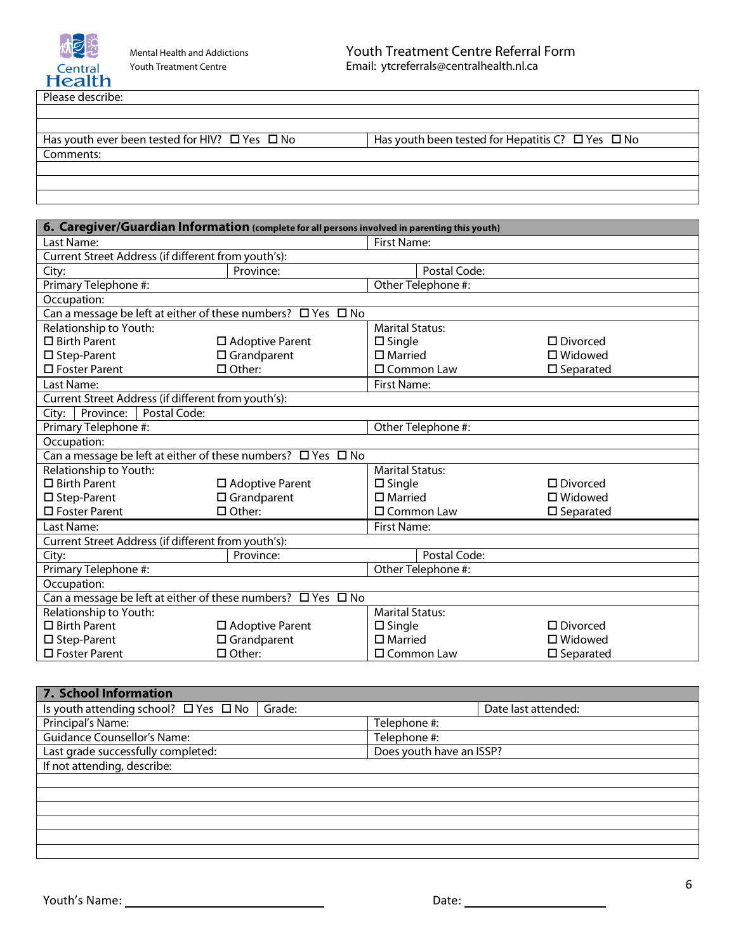

Please describe:<br>
<u>Please</u> describe:

| Has youth ever been tested for HIV? $\Box$ Yes $\Box$ No | $\Box$ No<br>Has youth been tested for Hepatitis C? $\Box$ Yes |
|----------------------------------------------------------|----------------------------------------------------------------|
| Comments:                                                |                                                                |
|                                                          |                                                                |

| 6. Caregiver/Guardian Information (complete for all persons involved in parenting this youth) |                                                                        |                        |                     |  |
|-----------------------------------------------------------------------------------------------|------------------------------------------------------------------------|------------------------|---------------------|--|
| Last Name:                                                                                    |                                                                        | <b>First Name:</b>     |                     |  |
| Current Street Address (if different from youth's):                                           |                                                                        |                        |                     |  |
| City:                                                                                         | Province:                                                              | Postal Code:           |                     |  |
| Primary Telephone #:                                                                          |                                                                        | Other Telephone #:     |                     |  |
| Occupation:                                                                                   |                                                                        |                        |                     |  |
| Can a message be left at either of these numbers? $\Box$ Yes $\Box$ No                        |                                                                        |                        |                     |  |
| Relationship to Youth:                                                                        |                                                                        | <b>Marital Status:</b> |                     |  |
| $\square$ Birth Parent                                                                        | $\square$ Adoptive Parent                                              | $\square$ Single       | $\square$ Divorced  |  |
| $\square$ Step-Parent                                                                         | $\square$ Grandparent                                                  | $\square$ Married      | $\square$ Widowed   |  |
| $\Box$ Foster Parent                                                                          | $\Box$ Other:                                                          | $\square$ Common Law   | $\square$ Separated |  |
| Last Name:                                                                                    |                                                                        | <b>First Name:</b>     |                     |  |
| Current Street Address (if different from youth's):                                           |                                                                        |                        |                     |  |
| Postal Code:<br>Province:<br>City:                                                            |                                                                        |                        |                     |  |
| Primary Telephone #:                                                                          |                                                                        | Other Telephone #:     |                     |  |
| Occupation:                                                                                   |                                                                        |                        |                     |  |
|                                                                                               | Can a message be left at either of these numbers? $\Box$ Yes $\Box$ No |                        |                     |  |
| Relationship to Youth:                                                                        |                                                                        | <b>Marital Status:</b> |                     |  |
| $\Box$ Birth Parent                                                                           | $\square$ Adoptive Parent                                              | $\square$ Single       | $\square$ Divorced  |  |
| $\square$ Step-Parent                                                                         | $\Box$ Grandparent                                                     | $\square$ Married      | $\square$ Widowed   |  |
| $\Box$ Foster Parent                                                                          | $\Box$ Other:                                                          | $\square$ Common Law   | $\square$ Separated |  |
| Last Name:                                                                                    |                                                                        | <b>First Name:</b>     |                     |  |
| Current Street Address (if different from youth's):                                           |                                                                        |                        |                     |  |
| City:                                                                                         | Province:                                                              | Postal Code:           |                     |  |
| Primary Telephone #:                                                                          |                                                                        | Other Telephone #:     |                     |  |
| Occupation:                                                                                   |                                                                        |                        |                     |  |
| Can a message be left at either of these numbers? $\Box$ Yes $\Box$ No                        |                                                                        |                        |                     |  |
| Relationship to Youth:                                                                        |                                                                        | <b>Marital Status:</b> |                     |  |
| $\square$ Birth Parent                                                                        | $\square$ Adoptive Parent                                              | $\square$ Single       | $\square$ Divorced  |  |
| □ Step-Parent                                                                                 | $\Box$ Grandparent                                                     | $\square$ Married      | $\square$ Widowed   |  |
| $\Box$ Foster Parent                                                                          | $\Box$ Other:                                                          | □ Common Law           | $\square$ Separated |  |

| <b>7. School Information</b>                              |                          |
|-----------------------------------------------------------|--------------------------|
| Is youth attending school? $\Box$ Yes $\Box$ No<br>Grade: | Date last attended:      |
| Principal's Name:                                         | Telephone #:             |
| <b>Guidance Counsellor's Name:</b>                        | Telephone #:             |
| Last grade successfully completed:                        | Does youth have an ISSP? |
| If not attending, describe:                               |                          |
|                                                           |                          |
|                                                           |                          |
|                                                           |                          |
|                                                           |                          |
|                                                           |                          |
|                                                           |                          |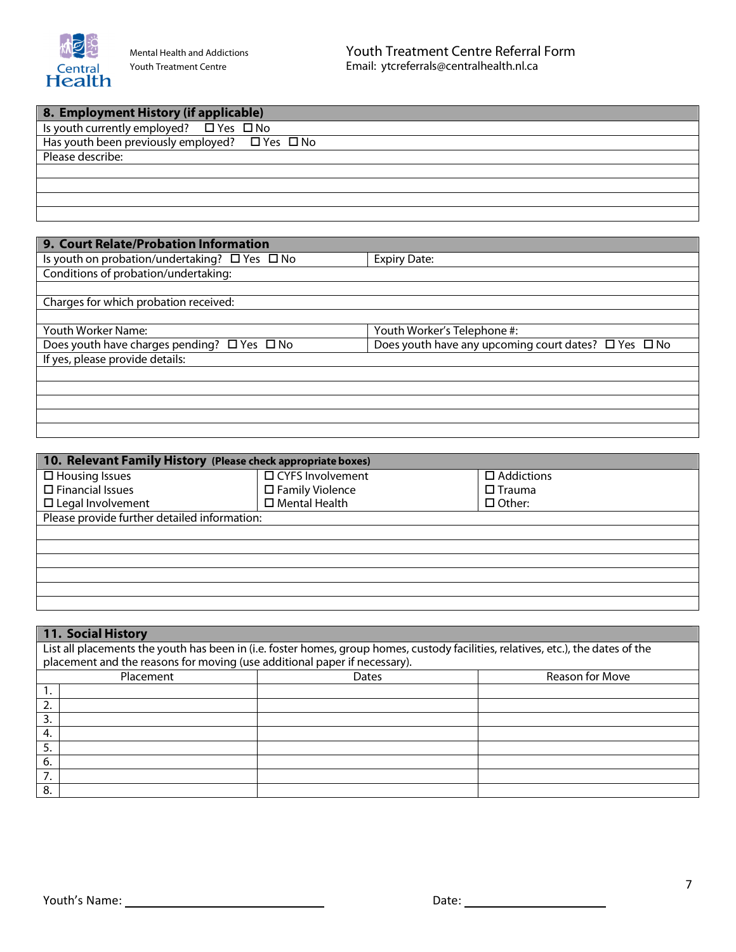

| 8. Employment History (if applicable)                    |
|----------------------------------------------------------|
| Is youth currently employed? $\Box$ Yes $\Box$ No        |
| Has youth been previously employed? $\Box$ Yes $\Box$ No |
| Please describe:                                         |
|                                                          |
|                                                          |
|                                                          |
|                                                          |

| 9. Court Relate/Probation Information                   |                                                                |
|---------------------------------------------------------|----------------------------------------------------------------|
| Is youth on probation/undertaking? $\Box$ Yes $\Box$ No | <b>Expiry Date:</b>                                            |
| Conditions of probation/undertaking:                    |                                                                |
|                                                         |                                                                |
| Charges for which probation received:                   |                                                                |
|                                                         |                                                                |
| Youth Worker Name:                                      | Youth Worker's Telephone #:                                    |
| Does youth have charges pending? $\Box$ Yes $\Box$ No   | Does youth have any upcoming court dates? $\Box$ Yes $\Box$ No |
| If yes, please provide details:                         |                                                                |
|                                                         |                                                                |
|                                                         |                                                                |
|                                                         |                                                                |
|                                                         |                                                                |
|                                                         |                                                                |

| 10. Relevant Family History (Please check appropriate boxes) |                           |                   |  |  |
|--------------------------------------------------------------|---------------------------|-------------------|--|--|
| $\Box$ Housing Issues                                        | □ CYFS Involvement        | $\Box$ Addictions |  |  |
| $\square$ Financial Issues                                   | $\square$ Family Violence | $\Box$ Trauma     |  |  |
| $\Box$ Legal Involvement                                     | $\square$ Mental Health   | $\Box$ Other:     |  |  |
| Please provide further detailed information:                 |                           |                   |  |  |
|                                                              |                           |                   |  |  |
|                                                              |                           |                   |  |  |
|                                                              |                           |                   |  |  |
|                                                              |                           |                   |  |  |
|                                                              |                           |                   |  |  |
|                                                              |                           |                   |  |  |

| 11. Social History                                                                                                                |              |                 |  |  |
|-----------------------------------------------------------------------------------------------------------------------------------|--------------|-----------------|--|--|
| List all placements the youth has been in (i.e. foster homes, group homes, custody facilities, relatives, etc.), the dates of the |              |                 |  |  |
| placement and the reasons for moving (use additional paper if necessary).                                                         |              |                 |  |  |
| Placement                                                                                                                         | <b>Dates</b> | Reason for Move |  |  |
|                                                                                                                                   |              |                 |  |  |
| 2.                                                                                                                                |              |                 |  |  |
| 3.                                                                                                                                |              |                 |  |  |
| 4.                                                                                                                                |              |                 |  |  |
| 5.                                                                                                                                |              |                 |  |  |
| 6.                                                                                                                                |              |                 |  |  |
| 7.                                                                                                                                |              |                 |  |  |
| 8.                                                                                                                                |              |                 |  |  |